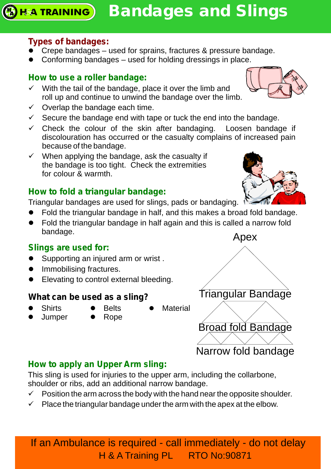## **Types of bandages:**

- Crepe bandages used for sprains, fractures & pressure bandage.
- Conforming bandages used for holding dressings in place.

#### **How to use a roller bandage:**

- $\checkmark$  With the tail of the bandage, place it over the limb and roll up and continue to unwind the bandage over the limb.
- $\checkmark$  Overlap the bandage each time.
- $\checkmark$  Secure the bandage end with tape or tuck the end into the bandage.
- $\checkmark$  Check the colour of the skin after bandaging. Loosen bandage if discolouration has occurred or the casualty complains of increased pain because of the bandage.
- $\checkmark$  When applying the bandage, ask the casualty if the bandage is too tight. Check the extremities for colour & warmth.

## **How to fold a triangular bandage:**

Triangular bandages are used for slings, pads or bandaging.

- Fold the triangular bandage in half, and this makes a broad fold bandage.
- Fold the triangular bandage in half again and this is called a narrow fold bandage.

#### **Slings are used for:**

- Supporting an injured arm or wrist.
- l Immobilising fractures.
- Elevating to control external bleeding.

## **What can be used as a sling?**

- **Shirts**
- Belts
- **Material**
- 
- Rope
- 
- Shirts<br>• Jumper
- 



# Narrow fold bandage **How to apply an Upper Arm sling:**

This sling is used for injuries to the upper arm, including the collarbone, shoulder or ribs, add an additional narrow bandage.

- $\checkmark$  Position the arm across the body with the hand near the opposite shoulder.
- $\checkmark$  Place the triangular bandage under the arm with the apex at the elbow.

If an Ambulance is required - call immediately - do not delay H & A Training PL RTO No:90871





Broad fold Bandage